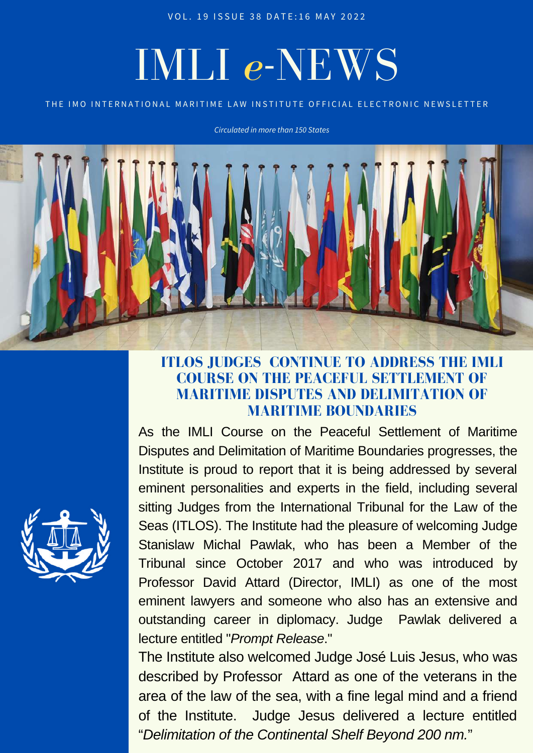VOL. 19 ISSUE 38 DATE: 16 MAY 2022

# IMLI *e*-NEWS

#### THE IMO INTERNATIONAL MARITIME LAW INSTITUTE OFFICIAL ELECTRONIC NEWSLETTER

*Circulated in more than 150 States*



### **ITLOS JUDGES CONTINUE TO ADDRESS THE IMLI COURSE ON THE PEACEFUL SETTLEMENT OF MARITIME DISPUTES AND DELIMITATION OF MARITIME BOUNDARIES**

As the IMLI Course on the Peaceful Settlement of Maritime Disputes and Delimitation of Maritime Boundaries progresses, the Institute is proud to report that it is being addressed by several eminent personalities and experts in the field, including several sitting Judges from the International Tribunal for the Law of the Seas (ITLOS). The Institute had the pleasure of welcoming Judge Stanislaw Michal Pawlak, who has been a Member of the Tribunal since October 2017 and who was introduced by Professor David Attard (Director, IMLI) as one of the most eminent lawyers and someone who also has an extensive and outstanding career in diplomacy. Judge Pawlak delivered a lecture entitled "*Prompt Release*."

The Institute also welcomed Judge José Luis Jesus, who was described by Professor Attard as one of the veterans in the area of the law of the sea, with a fine legal mind and a friend of the Institute. Judge Jesus delivered a lecture entitled "*Delimitation of the Continental Shelf Beyond 200 nm.*"

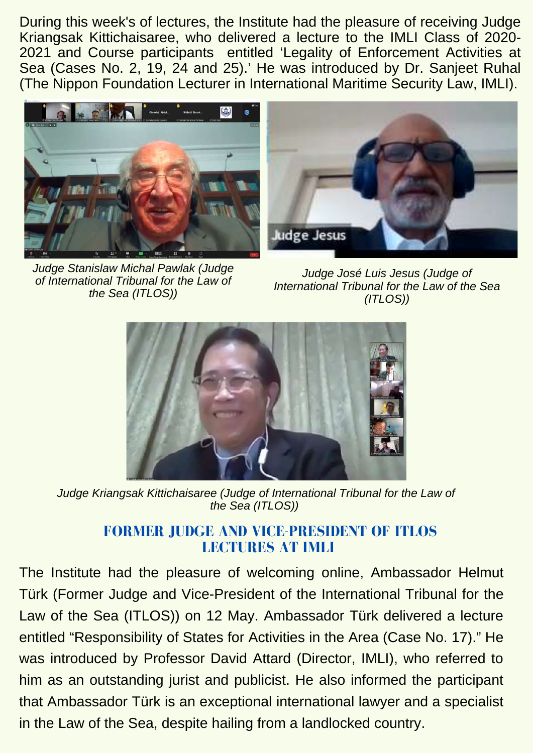During this week's of lectures, the Institute had the pleasure of receiving Judge Kriangsak Kittichaisaree, who delivered a lecture to the IMLI Class of 2020- 2021 and Course participants entitled 'Legality of Enforcement Activities at Sea (Cases No. 2, 19, 24 and 25).' He was introduced by Dr. Sanjeet Ruhal (The Nippon Foundation Lecturer in International Maritime Security Law, IMLI).



*Judge Stanislaw Michal Pawlak (Judge of International Tribunal for the Law of the Sea (ITLOS))*



*Judge José Luis Jesus (Judge of International Tribunal for the Law of the Sea (ITLOS))*



*Judge Kriangsak Kittichaisaree (Judge of International Tribunal for the Law of the Sea (ITLOS))*

# **FORMER JUDGE AND VICE-PRESIDENT OF ITLOS LECTURES AT IMLI**

The Institute had the pleasure of welcoming online, Ambassador Helmut Türk (Former Judge and Vice-President of the International Tribunal for the Law of the Sea (ITLOS)) on 12 May. Ambassador Türk delivered a lecture entitled "Responsibility of States for Activities in the Area (Case No. 17)." He was introduced by Professor David Attard (Director, IMLI), who referred to him as an outstanding jurist and publicist. He also informed the participant that Ambassador Türk is an exceptional international lawyer and a specialist in the Law of the Sea, despite hailing from a landlocked country.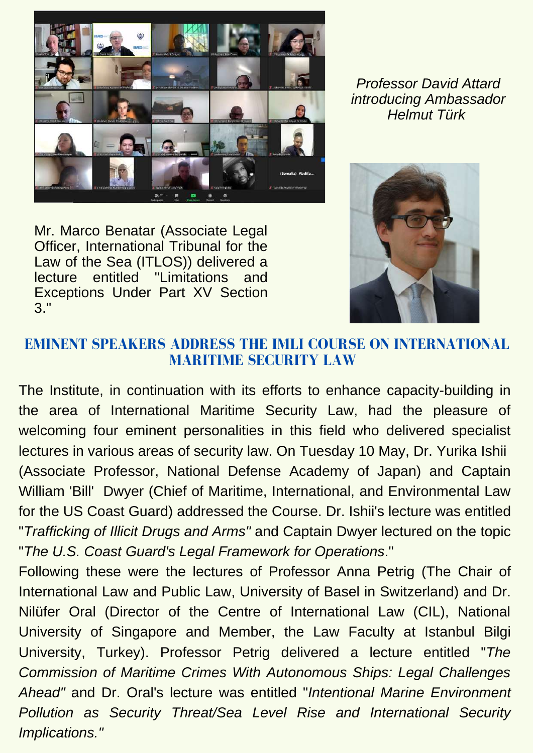

Mr. Marco Benatar (Associate Legal Officer, International Tribunal for the Law of the Sea (ITLOS)) delivered a lecture entitled "Limitations and Exceptions Under Part XV Section 3."

*Professor David Attard introducing Ambassador Helmut Türk*



# **EMINENT SPEAKERS ADDRESS THE IMLI COURSE ON INTERNATIONAL MARITIME SECURITY LAW**

The Institute, in continuation with its efforts to enhance capacity-building in the area of International Maritime Security Law, had the pleasure of welcoming four eminent personalities in this field who delivered specialist lectures in various areas of security law. On Tuesday 10 May, Dr. Yurika Ishii (Associate Professor, National Defense Academy of Japan) and Captain William 'Bill' Dwyer (Chief of Maritime, International, and Environmental Law for the US Coast Guard) addressed the Course. Dr. Ishii's lecture was entitled "*Trafficking of Illicit Drugs and Arms"* and Captain Dwyer lectured on the topic "*The U.S. Coast Guard's Legal Framework for Operations*."

Following these were the lectures of Professor Anna Petrig (The Chair of International Law and Public Law, University of Basel in Switzerland) and Dr. Nilüfer Oral (Director of the Centre of International Law (CIL), National University of Singapore and Member, the Law Faculty at Istanbul Bilgi University, Turkey). Professor Petrig delivered a lecture entitled "*The Commission of Maritime Crimes With Autonomous Ships: Legal Challenges Ahead"* and Dr. Oral's lecture was entitled "*Intentional Marine Environment Pollution as Security Threat/Sea Level Rise and International Security Implications."*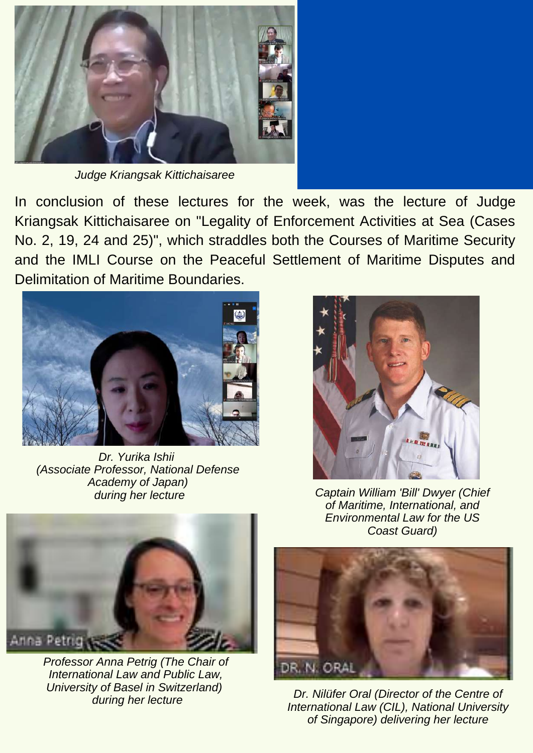

*Judge Kriangsak Kittichaisaree*

In conclusion of these lectures for the week, was the lecture of Judge Kriangsak Kittichaisaree on "Legality of Enforcement Activities at Sea (Cases No. 2, 19, 24 and 25)", which straddles both the Courses of Maritime Security and the IMLI Course on the Peaceful Settlement of Maritime Disputes and Delimitation of Maritime Boundaries.



*Dr. Yurika Ishii (Associate Professor, National Defense Academy of Japan)*



*Professor Anna Petrig (The Chair of International Law and Public Law, University of Basel in Switzerland) during her lecture*



*during her lecture Captain William 'Bill' Dwyer (Chief of Maritime, International, and Environmental Law for the US Coast Guard)*



*Dr. Nilüfer Oral (Director of the Centre of International Law (CIL), National University of Singapore) delivering her lecture*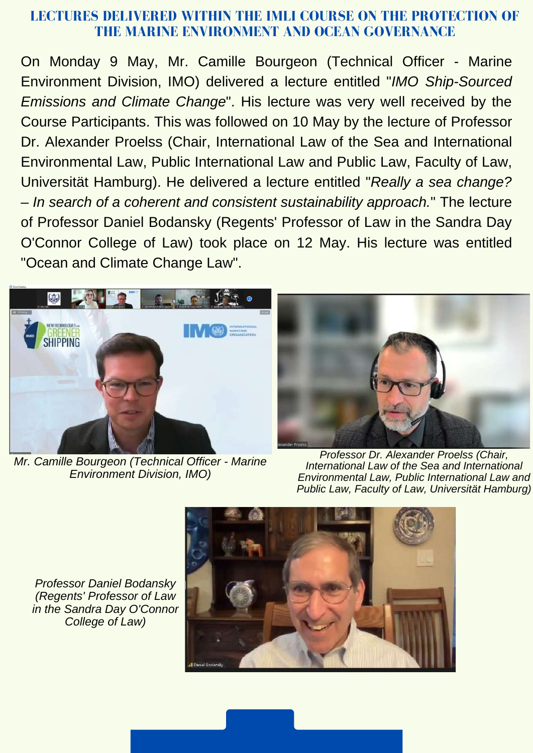#### **LECTURES DELIVERED WITHIN THE IMLI COURSE ON THE PROTECTION OF THE MARINE ENVIRONMENT AND OCEAN GOVERNANCE**

On Monday 9 May, Mr. Camille Bourgeon (Technical Officer - Marine Environment Division, IMO) delivered a lecture entitled "*IMO Ship-Sourced Emissions and Climate Change*". His lecture was very well received by the Course Participants. This was followed on 10 May by the lecture of Professor Dr. Alexander Proelss (Chair, International Law of the Sea and International Environmental Law, Public International Law and Public Law, Faculty of Law, Universität Hamburg). He delivered a lecture entitled "*Really a sea change? – In search of a coherent and consistent sustainability approach.*" The lecture of Professor Daniel Bodansky (Regents' Professor of Law in the Sandra Day O'Connor College of Law) took place on 12 May. His lecture was entitled "Ocean and Climate Change Law".



*Mr. Camille Bourgeon (Technical Officer - Marine Environment Division, IMO)*



*Professor Dr. Alexander Proelss (Chair, International Law of the Sea and International Environmental Law, Public International Law and Public Law, Faculty of Law, Universität Hamburg)*

*Professor Daniel Bodansky (Regents' Professor of Law in the Sandra Day O'Connor College of Law)*